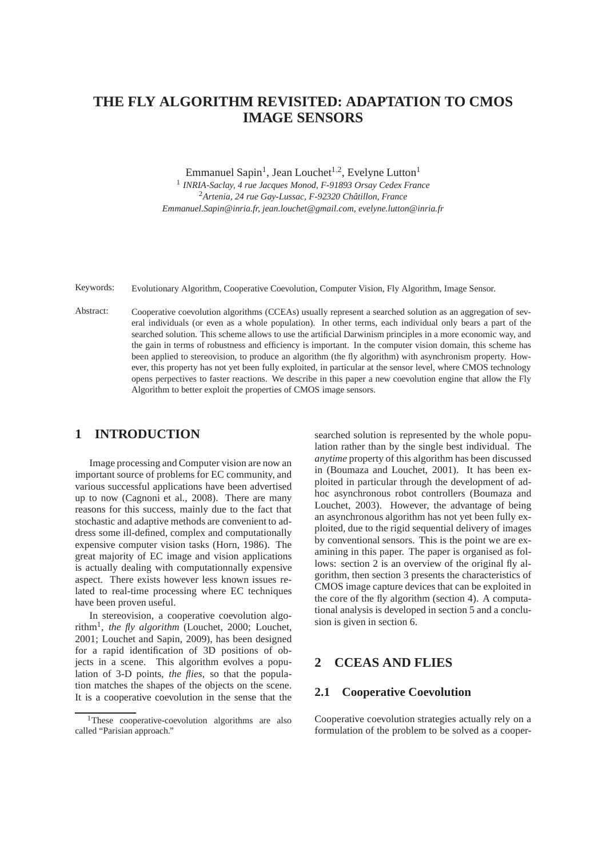# **THE FLY ALGORITHM REVISITED: ADAPTATION TO CMOS IMAGE SENSORS**

Emmanuel Sapin<sup>1</sup>, Jean Louchet<sup>1,2</sup>, Evelyne Lutton<sup>1</sup>

1 *INRIA-Saclay, 4 rue Jacques Monod, F-91893 Orsay Cedex France* <sup>2</sup>Artenia, 24 rue Gay-Lussac, F-92320 Châtillon, France *Emmanuel.Sapin@inria.fr, jean.louchet@gmail.com, evelyne.lutton@inria.fr*

Keywords: Evolutionary Algorithm, Cooperative Coevolution, Computer Vision, Fly Algorithm, Image Sensor.

Abstract: Cooperative coevolution algorithms (CCEAs) usually represent a searched solution as an aggregation of several individuals (or even as a whole population). In other terms, each individual only bears a part of the searched solution. This scheme allows to use the artificial Darwinism principles in a more economic way, and the gain in terms of robustness and efficiency is important. In the computer vision domain, this scheme has been applied to stereovision, to produce an algorithm (the fly algorithm) with asynchronism property. However, this property has not yet been fully exploited, in particular at the sensor level, where CMOS technology opens perpectives to faster reactions. We describe in this paper a new coevolution engine that allow the Fly Algorithm to better exploit the properties of CMOS image sensors.

### **1 INTRODUCTION**

Image processing and Computer vision are now an important source of problems for EC community, and various successful applications have been advertised up to now (Cagnoni et al., 2008). There are many reasons for this success, mainly due to the fact that stochastic and adaptive methods are convenient to address some ill-defined, complex and computationally expensive computer vision tasks (Horn, 1986). The great majority of EC image and vision applications is actually dealing with computationnally expensive aspect. There exists however less known issues related to real-time processing where EC techniques have been proven useful.

In stereovision, a cooperative coevolution algorithm<sup>1</sup> , *the fly algorithm* (Louchet, 2000; Louchet, 2001; Louchet and Sapin, 2009), has been designed for a rapid identification of 3D positions of objects in a scene. This algorithm evolves a population of 3-D points, *the flies*, so that the population matches the shapes of the objects on the scene. It is a cooperative coevolution in the sense that the

searched solution is represented by the whole population rather than by the single best individual. The *anytime* property of this algorithm has been discussed in (Boumaza and Louchet, 2001). It has been exploited in particular through the development of adhoc asynchronous robot controllers (Boumaza and Louchet, 2003). However, the advantage of being an asynchronous algorithm has not yet been fully exploited, due to the rigid sequential delivery of images by conventional sensors. This is the point we are examining in this paper. The paper is organised as follows: section 2 is an overview of the original fly algorithm, then section 3 presents the characteristics of CMOS image capture devices that can be exploited in the core of the fly algorithm (section 4). A computational analysis is developed in section 5 and a conclusion is given in section 6.

### **2 CCEAS AND FLIES**

### **2.1 Cooperative Coevolution**

Cooperative coevolution strategies actually rely on a formulation of the problem to be solved as a cooper-

<sup>&</sup>lt;sup>1</sup>These cooperative-coevolution algorithms are also called "Parisian approach."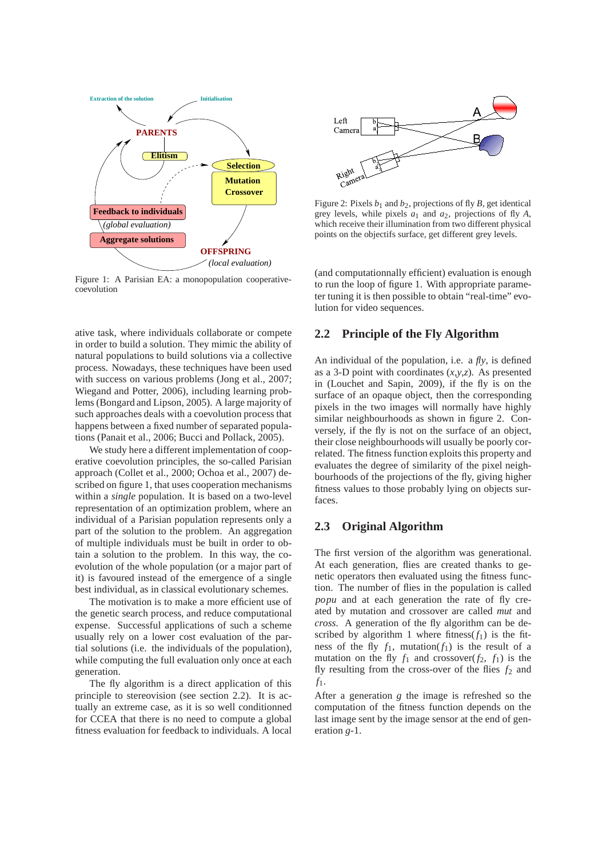

Figure 1: A Parisian EA: a monopopulation cooperativecoevolution

ative task, where individuals collaborate or compete in order to build a solution. They mimic the ability of natural populations to build solutions via a collective process. Nowadays, these techniques have been used with success on various problems (Jong et al., 2007; Wiegand and Potter, 2006), including learning problems (Bongard and Lipson, 2005). A large majority of such approaches deals with a coevolution process that happens between a fixed number of separated populations (Panait et al., 2006; Bucci and Pollack, 2005).

We study here a different implementation of cooperative coevolution principles, the so-called Parisian approach (Collet et al., 2000; Ochoa et al., 2007) described on figure 1, that uses cooperation mechanisms within a *single* population. It is based on a two-level representation of an optimization problem, where an individual of a Parisian population represents only a part of the solution to the problem. An aggregation of multiple individuals must be built in order to obtain a solution to the problem. In this way, the coevolution of the whole population (or a major part of it) is favoured instead of the emergence of a single best individual, as in classical evolutionary schemes.

The motivation is to make a more efficient use of the genetic search process, and reduce computational expense. Successful applications of such a scheme usually rely on a lower cost evaluation of the partial solutions (i.e. the individuals of the population), while computing the full evaluation only once at each generation.

The fly algorithm is a direct application of this principle to stereovision (see section 2.2). It is actually an extreme case, as it is so well conditionned for CCEA that there is no need to compute a global fitness evaluation for feedback to individuals. A local



Figure 2: Pixels  $b_1$  and  $b_2$ , projections of fly *B*, get identical grey levels, while pixels  $a_1$  and  $a_2$ , projections of fly  $A$ , which receive their illumination from two different physical points on the objectifs surface, get different grey levels.

(and computationnally efficient) evaluation is enough to run the loop of figure 1. With appropriate parameter tuning it is then possible to obtain "real-time" evolution for video sequences.

### **2.2 Principle of the Fly Algorithm**

An individual of the population, i.e. a *fly*, is defined as a 3-D point with coordinates (*x*,*y*,*z*). As presented in (Louchet and Sapin, 2009), if the fly is on the surface of an opaque object, then the corresponding pixels in the two images will normally have highly similar neighbourhoods as shown in figure 2. Conversely, if the fly is not on the surface of an object, their close neighbourhoods will usually be poorly correlated. The fitness function exploits this property and evaluates the degree of similarity of the pixel neighbourhoods of the projections of the fly, giving higher fitness values to those probably lying on objects surfaces.

### **2.3 Original Algorithm**

The first version of the algorithm was generational. At each generation, flies are created thanks to genetic operators then evaluated using the fitness function. The number of flies in the population is called *popu* and at each generation the rate of fly created by mutation and crossover are called *mut* and *cross*. A generation of the fly algorithm can be described by algorithm 1 where fitness( $f_1$ ) is the fitness of the fly  $f_1$ , mutation( $f_1$ ) is the result of a mutation on the fly  $f_1$  and crossover( $f_2$ ,  $f_1$ ) is the fly resulting from the cross-over of the flies  $f_2$  and *f*1.

After a generation *g* the image is refreshed so the computation of the fitness function depends on the last image sent by the image sensor at the end of generation *g*-1.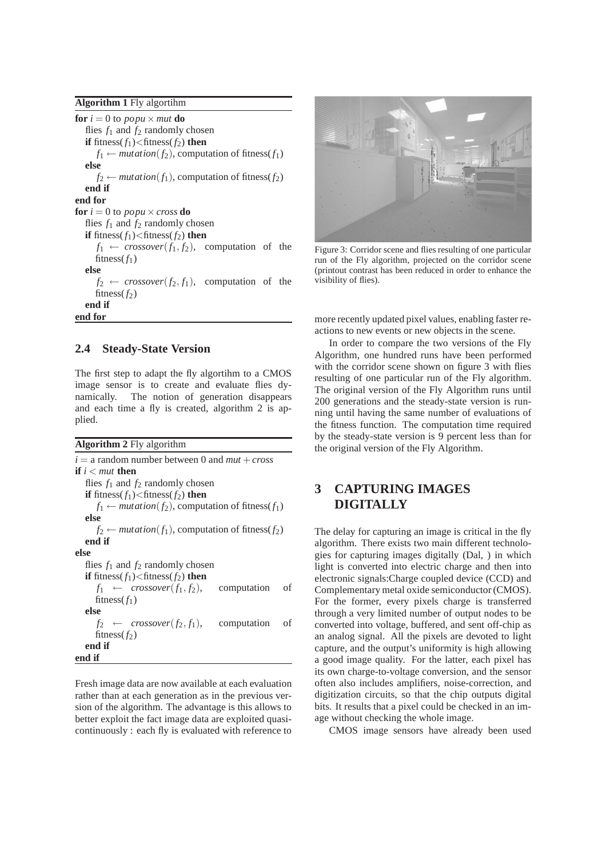**Algorithm 1** Fly algortihm

**for**  $i = 0$  to *popu*  $\times$  *mut* **do** flies  $f_1$  and  $f_2$  randomly chosen **if** fitness( $f_1$ )<fitness( $f_2$ ) **then**  $f_1 \leftarrow mutation(f_2)$ , computation of fitness( $f_1$ ) **else**  $f_2 \leftarrow mutation(f_1)$ , computation of fitness( $f_2$ ) **end if end for for**  $i = 0$  to *popu*  $\times$  *cross* **do** flies  $f_1$  and  $f_2$  randomly chosen **if** fitness $(f_1)$ <fitness $(f_2)$  **then**  $f_1 \leftarrow \text{crossover}(f_1, f_2)$ , computation of the fitness $(f_1)$ **else**  $f_2 \leftarrow \text{crossover}(f_2, f_1)$ , computation of the fitness( $f_2$ ) **end if end for**

#### **2.4 Steady-State Version**

The first step to adapt the fly algortihm to a CMOS image sensor is to create and evaluate flies dynamically. The notion of generation disappears and each time a fly is created, algorithm 2 is applied.

|  |  |  | Algorithm 2 Fly algorithm |
|--|--|--|---------------------------|
|  |  |  |                           |

| $i =$ a random number between 0 and $mut + cross$                          |             |    |  |  |  |
|----------------------------------------------------------------------------|-------------|----|--|--|--|
| if $i < \mu$ then                                                          |             |    |  |  |  |
| flies $f_1$ and $f_2$ randomly chosen                                      |             |    |  |  |  |
| <b>if</b> fitness( $f_1$ ) <fitness(<math>f_2) <b>then</b></fitness(<math> |             |    |  |  |  |
| $f_1 \leftarrow mutation(f_2)$ , computation of fitness(f <sub>1</sub> )   |             |    |  |  |  |
| else                                                                       |             |    |  |  |  |
| $f_2 \leftarrow mutation(f_1)$ , computation of fitness(f <sub>2</sub> )   |             |    |  |  |  |
| end if                                                                     |             |    |  |  |  |
| else                                                                       |             |    |  |  |  |
| flies $f_1$ and $f_2$ randomly chosen                                      |             |    |  |  |  |
| if fitness $(f_1)$ < fitness $(f_2)$ then                                  |             |    |  |  |  |
| $f_1 \leftarrow \text{crossover}(f_1, f_2),$                               | computation | of |  |  |  |
| fitness $(f_1)$                                                            |             |    |  |  |  |
| else                                                                       |             |    |  |  |  |
| $f_2 \leftarrow \text{crossover}(f_2, f_1),$                               | computation | of |  |  |  |
| fitness $(f_2)$                                                            |             |    |  |  |  |
| end if                                                                     |             |    |  |  |  |
| end if                                                                     |             |    |  |  |  |

Fresh image data are now available at each evaluation rather than at each generation as in the previous version of the algorithm. The advantage is this allows to better exploit the fact image data are exploited quasicontinuously : each fly is evaluated with reference to



Figure 3: Corridor scene and flies resulting of one particular run of the Fly algorithm, projected on the corridor scene (printout contrast has been reduced in order to enhance the visibility of flies).

more recently updated pixel values, enabling faster reactions to new events or new objects in the scene.

In order to compare the two versions of the Fly Algorithm, one hundred runs have been performed with the corridor scene shown on figure 3 with flies resulting of one particular run of the Fly algorithm. The original version of the Fly Algorithm runs until 200 generations and the steady-state version is running until having the same number of evaluations of the fitness function. The computation time required by the steady-state version is 9 percent less than for the original version of the Fly Algorithm.

## **3 CAPTURING IMAGES DIGITALLY**

The delay for capturing an image is critical in the fly algorithm. There exists two main different technologies for capturing images digitally (Dal, ) in which light is converted into electric charge and then into electronic signals:Charge coupled device (CCD) and Complementary metal oxide semiconductor (CMOS). For the former, every pixels charge is transferred through a very limited number of output nodes to be converted into voltage, buffered, and sent off-chip as an analog signal. All the pixels are devoted to light capture, and the output's uniformity is high allowing a good image quality. For the latter, each pixel has its own charge-to-voltage conversion, and the sensor often also includes amplifiers, noise-correction, and digitization circuits, so that the chip outputs digital bits. It results that a pixel could be checked in an image without checking the whole image.

CMOS image sensors have already been used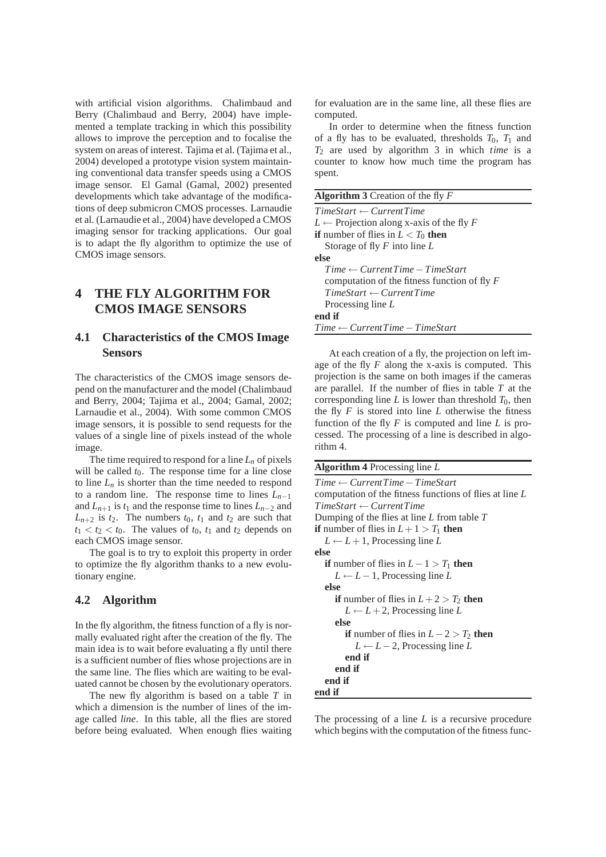with artificial vision algorithms. Chalimbaud and Berry (Chalimbaud and Berry, 2004) have implemented a template tracking in which this possibility allows to improve the perception and to focalise the system on areas of interest. Tajima et al. (Tajima et al., 2004) developed a prototype vision system maintaining conventional data transfer speeds using a CMOS image sensor. El Gamal (Gamal, 2002) presented developments which take advantage of the modifications of deep submicron CMOS processes. Larnaudie et al. (Larnaudie et al., 2004) have developed a CMOS imaging sensor for tracking applications. Our goal is to adapt the fly algorithm to optimize the use of CMOS image sensors.

### **4 THE FLY ALGORITHM FOR CMOS IMAGE SENSORS**

### **4.1 Characteristics of the CMOS Image Sensors**

The characteristics of the CMOS image sensors depend on the manufacturer and the model (Chalimbaud and Berry, 2004; Tajima et al., 2004; Gamal, 2002; Larnaudie et al., 2004). With some common CMOS image sensors, it is possible to send requests for the values of a single line of pixels instead of the whole image.

The time required to respond for a line  $L_n$  of pixels will be called  $t_0$ . The response time for a line close to line  $L_n$  is shorter than the time needed to respond to a random line. The response time to lines  $L_{n-1}$ and  $L_{n+1}$  is  $t_1$  and the response time to lines  $L_{n-2}$  and  $L_{n+2}$  is  $t_2$ . The numbers  $t_0$ ,  $t_1$  and  $t_2$  are such that  $t_1 < t_2 < t_0$ . The values of  $t_0$ ,  $t_1$  and  $t_2$  depends on each CMOS image sensor.

The goal is to try to exploit this property in order to optimize the fly algorithm thanks to a new evolutionary engine.

### **4.2 Algorithm**

In the fly algorithm, the fitness function of a fly is normally evaluated right after the creation of the fly. The main idea is to wait before evaluating a fly until there is a sufficient number of flies whose projections are in the same line. The flies which are waiting to be evaluated cannot be chosen by the evolutionary operators.

The new fly algorithm is based on a table *T* in which a dimension is the number of lines of the image called *line*. In this table, all the flies are stored before being evaluated. When enough flies waiting

for evaluation are in the same line, all these flies are computed.

In order to determine when the fitness function of a fly has to be evaluated, thresholds  $T_0$ ,  $T_1$  and *T*<sup>2</sup> are used by algorithm 3 in which *time* is a counter to know how much time the program has spent.

| <b>Algorithm 3</b> Creation of the fly $F$          |  |  |  |  |
|-----------------------------------------------------|--|--|--|--|
| $TimeStart \leftarrow CurrentTime$                  |  |  |  |  |
| $L \leftarrow$ Projection along x-axis of the fly F |  |  |  |  |
| <b>if</b> number of flies in $L < T_0$ then         |  |  |  |  |
| Storage of fly $F$ into line $L$                    |  |  |  |  |
| else                                                |  |  |  |  |
| $Time \leftarrow CurrentTime - TimeStart$           |  |  |  |  |
| computation of the fitness function of fly $F$      |  |  |  |  |
| $TimeStart \leftarrow CurrentTime$                  |  |  |  |  |
| Processing line $L$                                 |  |  |  |  |
| end if                                              |  |  |  |  |
| $Time \leftarrow CurrentTime - TimeStart$           |  |  |  |  |

At each creation of a fly, the projection on left image of the fly *F* along the x-axis is computed. This projection is the same on both images if the cameras are parallel. If the number of flies in table *T* at the corresponding line  $L$  is lower than threshold  $T_0$ , then the fly  $F$  is stored into line  $L$  otherwise the fitness function of the fly *F* is computed and line *L* is processed. The processing of a line is described in algorithm 4.

**Algorithm 4** Processing line *L*

```
Time ← CurrentTime−TimeStart
computation of the fitness functions of flies at line L
TimeStart ← CurrentTime
Dumping of the flies at line L from table T
if number of flies in L + 1 > T_1 then
  L \leftarrow L + 1, Processing line L
else
  if number of flies in L-1 > T_1 then
     L \leftarrow L - 1, Processing line L
  else
     if number of flies in L + 2 > T_2 then
       L \leftarrow L + 2, Processing line L
     else
       if number of flies in L-2 > T_2 then
          L ← L − 2, Processing line L
       end if
     end if
  end if
end if
```
The processing of a line *L* is a recursive procedure which begins with the computation of the fitness func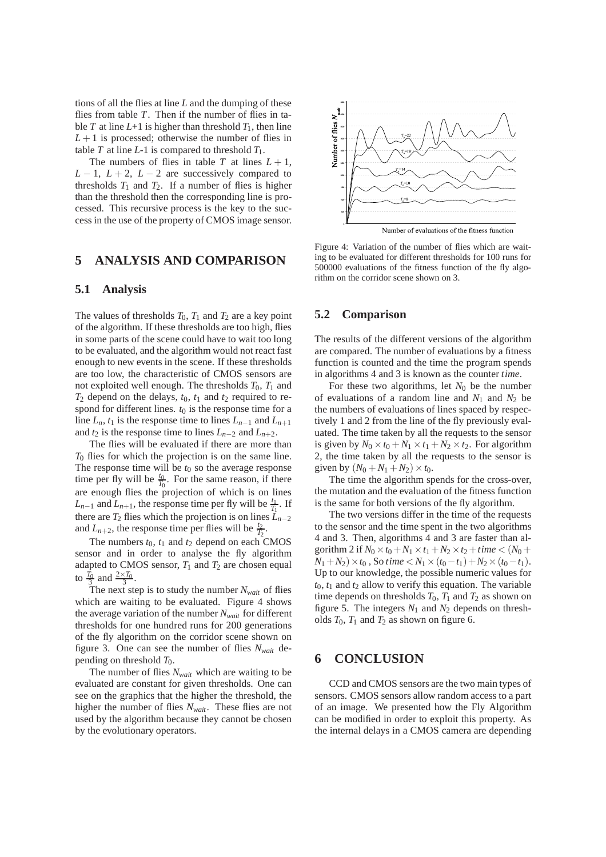tions of all the flies at line *L* and the dumping of these flies from table *T*. Then if the number of flies in table *T* at line  $L+1$  is higher than threshold  $T_1$ , then line  $L+1$  is processed; otherwise the number of flies in table  $T$  at line  $L$ -1 is compared to threshold  $T_1$ .

The numbers of flies in table *T* at lines  $L + 1$ ,  $L-1$ ,  $L+2$ ,  $L-2$  are successively compared to thresholds  $T_1$  and  $T_2$ . If a number of flies is higher than the threshold then the corresponding line is processed. This recursive process is the key to the success in the use of the property of CMOS image sensor.

### **5 ANALYSIS AND COMPARISON**

#### **5.1 Analysis**

The values of thresholds  $T_0$ ,  $T_1$  and  $T_2$  are a key point of the algorithm. If these thresholds are too high, flies in some parts of the scene could have to wait too long to be evaluated, and the algorithm would not react fast enough to new events in the scene. If these thresholds are too low, the characteristic of CMOS sensors are not exploited well enough. The thresholds  $T_0$ ,  $T_1$  and  $T_2$  depend on the delays,  $t_0$ ,  $t_1$  and  $t_2$  required to respond for different lines.  $t_0$  is the response time for a line  $L_n$ ,  $t_1$  is the response time to lines  $L_{n-1}$  and  $L_{n+1}$ and  $t_2$  is the response time to lines  $L_{n-2}$  and  $L_{n+2}$ .

The flies will be evaluated if there are more than *T*<sup>0</sup> flies for which the projection is on the same line. The response time will be  $t_0$  so the average response time per fly will be  $\frac{t_0}{T_0}$ . For the same reason, if there are enough flies the projection of which is on lines *L*<sub>*n*−1</sub> and *L*<sub>*n*+1</sub>, the response time per fly will be  $\frac{t_1}{T_1}$ . If there are  $T_2$  flies which the projection is on lines  $\overrightarrow{L}_{n-2}$ and  $L_{n+2}$ , the response time per flies will be  $\frac{t_2}{T_2}$ .

The numbers  $t_0$ ,  $t_1$  and  $t_2$  depend on each CMOS sensor and in order to analyse the fly algorithm adapted to CMOS sensor,  $T_1$  and  $T_2$  are chosen equal to  $\frac{\overline{T_0}}{3}$  and  $\frac{2 \times T_0}{3}$ .

The next step is to study the number  $N_{wait}$  of flies which are waiting to be evaluated. Figure 4 shows the average variation of the number *Nwait* for different thresholds for one hundred runs for 200 generations of the fly algorithm on the corridor scene shown on figure 3. One can see the number of flies *Nwait* depending on threshold *T*0.

The number of flies *Nwait* which are waiting to be evaluated are constant for given thresholds. One can see on the graphics that the higher the threshold, the higher the number of flies *Nwait*. These flies are not used by the algorithm because they cannot be chosen by the evolutionary operators.



Figure 4: Variation of the number of flies which are waiting to be evaluated for different thresholds for 100 runs for 500000 evaluations of the fitness function of the fly algorithm on the corridor scene shown on 3.

#### **5.2 Comparison**

The results of the different versions of the algorithm are compared. The number of evaluations by a fitness function is counted and the time the program spends in algorithms 4 and 3 is known as the counter *time*.

For these two algorithms, let  $N_0$  be the number of evaluations of a random line and  $N_1$  and  $N_2$  be the numbers of evaluations of lines spaced by respectively 1 and 2 from the line of the fly previously evaluated. The time taken by all the requests to the sensor is given by  $N_0 \times t_0 + N_1 \times t_1 + N_2 \times t_2$ . For algorithm 2, the time taken by all the requests to the sensor is given by  $(N_0 + N_1 + N_2) \times t_0$ .

The time the algorithm spends for the cross-over, the mutation and the evaluation of the fitness function is the same for both versions of the fly algorithm.

The two versions differ in the time of the requests to the sensor and the time spent in the two algorithms 4 and 3. Then, algorithms 4 and 3 are faster than algorithm 2 if  $N_0 \times t_0 + N_1 \times t_1 + N_2 \times t_2 +$ *time* <  $(N_0 +$ *N*<sub>1</sub> + *N*<sub>2</sub>) × *t*<sub>0</sub> , So *time* < *N*<sub>1</sub> × (*t*<sub>0</sub>−*t*<sub>1</sub>) + *N*<sub>2</sub> × (*t*<sub>0</sub>−*t*<sub>1</sub>). Up to our knowledge, the possible numeric values for  $t_0$ ,  $t_1$  and  $t_2$  allow to verify this equation. The variable time depends on thresholds  $T_0$ ,  $T_1$  and  $T_2$  as shown on figure 5. The integers  $N_1$  and  $N_2$  depends on thresholds  $T_0$ ,  $T_1$  and  $T_2$  as shown on figure 6.

### **6 CONCLUSION**

CCD and CMOS sensors are the two main types of sensors. CMOS sensors allow random access to a part of an image. We presented how the Fly Algorithm can be modified in order to exploit this property. As the internal delays in a CMOS camera are depending